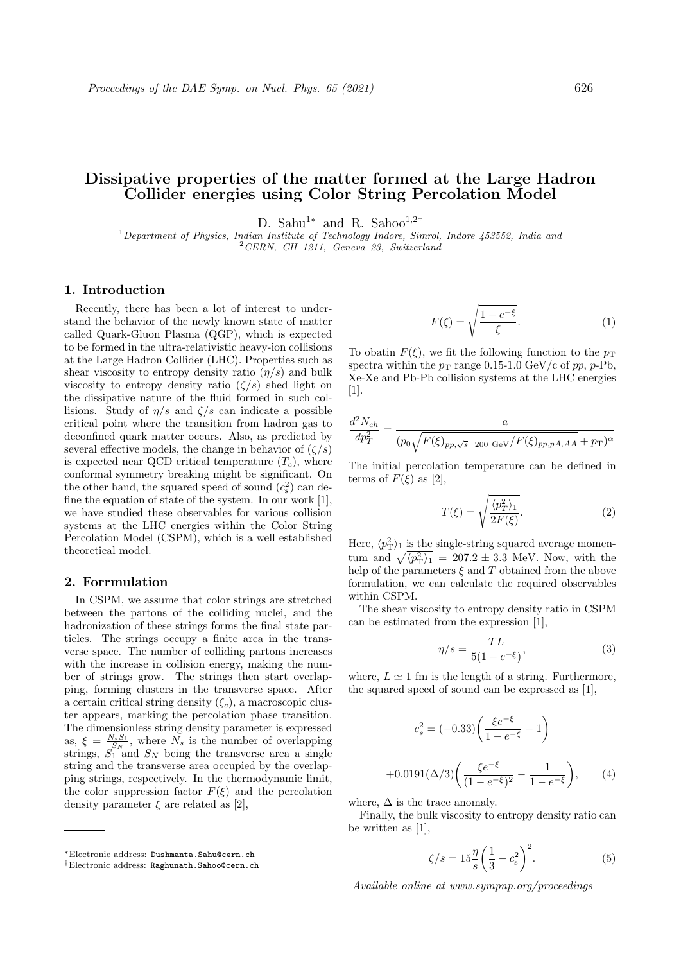# Dissipative properties of the matter formed at the Large Hadron Collider energies using Color String Percolation Model

D. Sahu<sup>1</sup>\* and R. Sahoo<sup>1,2†</sup>

 $1$  Department of Physics, Indian Institute of Technology Indore, Simrol, Indore 453552, India and <sup>2</sup>CERN, CH 1211, Geneva 23, Switzerland

# 1. Introduction

Recently, there has been a lot of interest to understand the behavior of the newly known state of matter called Quark-Gluon Plasma (QGP), which is expected to be formed in the ultra-relativistic heavy-ion collisions at the Large Hadron Collider (LHC). Properties such as shear viscosity to entropy density ratio  $(\eta/s)$  and bulk viscosity to entropy density ratio  $(\zeta/s)$  shed light on the dissipative nature of the fluid formed in such collisions. Study of  $\eta/s$  and  $\zeta/s$  can indicate a possible critical point where the transition from hadron gas to deconfined quark matter occurs. Also, as predicted by several effective models, the change in behavior of  $(\zeta/s)$ is expected near QCD critical temperature  $(T_c)$ , where conformal symmetry breaking might be significant. On the other hand, the squared speed of sound  $(c_s^2)$  can define the equation of state of the system. In our work [1], we have studied these observables for various collision systems at the LHC energies within the Color String Percolation Model (CSPM), which is a well established theoretical model.

## 2. Forrmulation

In CSPM, we assume that color strings are stretched between the partons of the colliding nuclei, and the hadronization of these strings forms the final state particles. The strings occupy a finite area in the transverse space. The number of colliding partons increases with the increase in collision energy, making the number of strings grow. The strings then start overlapping, forming clusters in the transverse space. After a certain critical string density  $(\xi_c)$ , a macroscopic cluster appears, marking the percolation phase transition. The dimensionless string density parameter is expressed as,  $\xi = \frac{N_s S_1}{S_N}$ , where  $N_s$  is the number of overlapping strings,  $S_1$  and  $S_N$  being the transverse area a single string and the transverse area occupied by the overlapping strings, respectively. In the thermodynamic limit, the color suppression factor  $F(\xi)$  and the percolation density parameter  $\xi$  are related as [2],

$$
F(\xi) = \sqrt{\frac{1 - e^{-\xi}}{\xi}}.\tag{1}
$$

To obatin  $F(\xi)$ , we fit the following function to the  $p_T$ spectra within the  $p_T$  range 0.15-1.0 GeV/c of pp, p-Pb, Xe-Xe and Pb-Pb collision systems at the LHC energies  $|1|$ .

$$
\frac{d^2N_{ch}}{dp_T^2} = \frac{a}{(p_0\sqrt{F(\xi)_{pp,\sqrt{s}=200\ {\rm GeV}/F(\xi)_{pp,pA,AA}} + p_{\rm T})^{\alpha}}}
$$

The initial percolation temperature can be defined in terms of  $F(\xi)$  as [2],

$$
T(\xi) = \sqrt{\frac{\langle p_T^2 \rangle_1}{2F(\xi)}}.
$$
 (2)

Here,  $\langle p_{\rm T}^2 \rangle_1$  is the single-string squared average momentum and  $\sqrt{\langle p_{\rm T}^2 \rangle_1}$  = 207.2  $\pm$  3.3 MeV. Now, with the help of the parameters  $\xi$  and  $T$  obtained from the above formulation, we can calculate the required observables within CSPM.

The shear viscosity to entropy density ratio in CSPM can be estimated from the expression [1],

$$
\eta/s = \frac{TL}{5(1 - e^{-\xi})},\tag{3}
$$

where,  $L \approx 1$  fm is the length of a string. Furthermore, the squared speed of sound can be expressed as [1],

$$
c_s^2 = (-0.33) \left( \frac{\xi e^{-\xi}}{1 - e^{-\xi}} - 1 \right)
$$

$$
+ 0.0191 (\Delta/3) \left( \frac{\xi e^{-\xi}}{(1 - e^{-\xi})^2} - \frac{1}{1 - e^{-\xi}} \right), \qquad (4)
$$

where,  $\Delta$  is the trace anomaly.

Finally, the bulk viscosity to entropy density ratio can be written as [1],

$$
\zeta/s = 15 \frac{\eta}{s} \left(\frac{1}{3} - c_s^2\right)^2.
$$
 (5)

Available online at www.sympnp.org/proceedings

<sup>∗</sup>Electronic address: Dushmanta.Sahu@cern.ch

<sup>†</sup>Electronic address: Raghunath.Sahoo@cern.ch